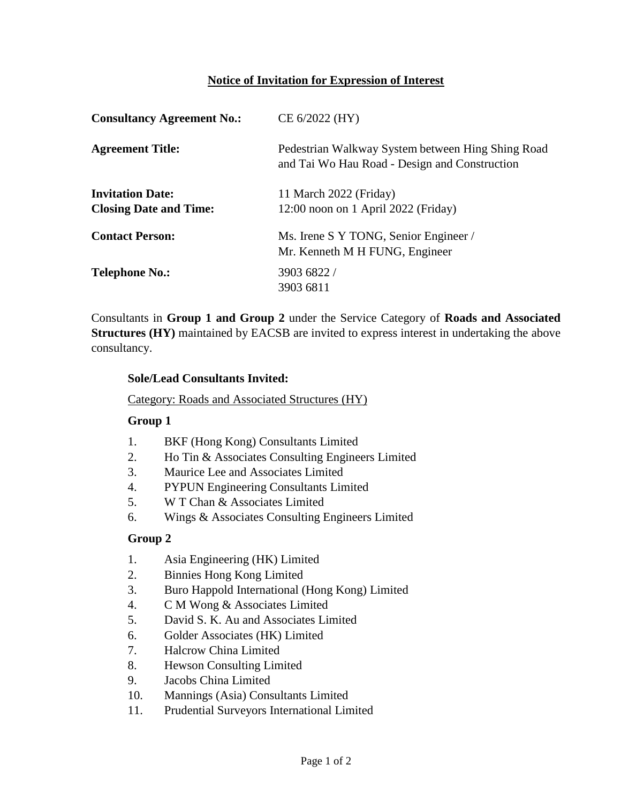## **Notice of Invitation for Expression of Interest**

| <b>Consultancy Agreement No.:</b>                        | CE 6/2022 (HY)                                                                                     |  |
|----------------------------------------------------------|----------------------------------------------------------------------------------------------------|--|
| <b>Agreement Title:</b>                                  | Pedestrian Walkway System between Hing Shing Road<br>and Tai Wo Hau Road - Design and Construction |  |
| <b>Invitation Date:</b><br><b>Closing Date and Time:</b> | 11 March 2022 (Friday)<br>12:00 noon on 1 April 2022 (Friday)                                      |  |
| <b>Contact Person:</b>                                   | Ms. Irene S Y TONG, Senior Engineer /<br>Mr. Kenneth M H FUNG, Engineer                            |  |
| <b>Telephone No.:</b>                                    | 3903 6822 /<br>3903 6811                                                                           |  |

Consultants in **Group 1 and Group 2** under the Service Category of **Roads and Associated Structures (HY)** maintained by EACSB are invited to express interest in undertaking the above consultancy.

#### **Sole/Lead Consultants Invited:**

Category: Roads and Associated Structures (HY)

### **Group 1**

- 1. BKF (Hong Kong) Consultants Limited
- 2. Ho Tin & Associates Consulting Engineers Limited
- 3. Maurice Lee and Associates Limited
- 4. PYPUN Engineering Consultants Limited
- 5. W T Chan & Associates Limited
- 6. Wings & Associates Consulting Engineers Limited

### **Group 2**

- 1. Asia Engineering (HK) Limited
- 2. Binnies Hong Kong Limited
- 3. Buro Happold International (Hong Kong) Limited
- 4. C M Wong & Associates Limited
- 5. David S. K. Au and Associates Limited
- 6. Golder Associates (HK) Limited
- 7. Halcrow China Limited
- 8. Hewson Consulting Limited
- 9. Jacobs China Limited
- 10. Mannings (Asia) Consultants Limited
- 11. Prudential Surveyors International Limited